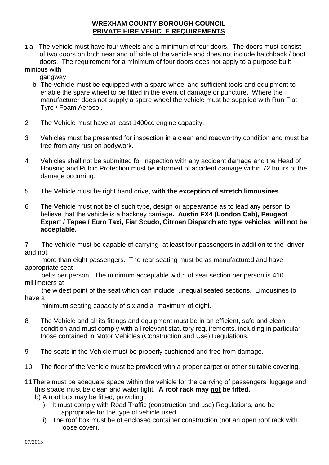## **WREXHAM COUNTY BOROUGH COUNCIL PRIVATE HIRE VEHICLE REQUIREMENTS**

1 a The vehicle must have four wheels and a minimum of four doors. The doors must consist of two doors on both near and off side of the vehicle and does not include hatchback / boot doors. The requirement for a minimum of four doors does not apply to a purpose built minibus with

gangway.

- b The vehicle must be equipped with a spare wheel and sufficient tools and equipment to enable the spare wheel to be fitted in the event of damage or puncture. Where the manufacturer does not supply a spare wheel the vehicle must be supplied with Run Flat Tyre / Foam Aerosol.
- 2 The Vehicle must have at least 1400cc engine capacity.
- 3 Vehicles must be presented for inspection in a clean and roadworthy condition and must be free from any rust on bodywork.
- 4 Vehicles shall not be submitted for inspection with any accident damage and the Head of Housing and Public Protection must be informed of accident damage within 72 hours of the damage occurring.
- 5 The Vehicle must be right hand drive, **with the exception of stretch limousines**.
- 6 The Vehicle must not be of such type, design or appearance as to lead any person to believe that the vehicle is a hackney carriage**. Austin FX4 (London Cab), Peugeot Expert / Tepee / Euro Taxi, Fiat Scudo, Citroen Dispatch etc type vehicles will not be acceptable.**

7 The vehicle must be capable of carrying at least four passengers in addition to the driver and not

 more than eight passengers. The rear seating must be as manufactured and have appropriate seat

 belts per person. The minimum acceptable width of seat section per person is 410 millimeters at

 the widest point of the seat which can include unequal seated sections. Limousines to have a

minimum seating capacity of six and a maximum of eight.

- 8 The Vehicle and all its fittings and equipment must be in an efficient, safe and clean condition and must comply with all relevant statutory requirements, including in particular those contained in Motor Vehicles (Construction and Use) Regulations.
- 9 The seats in the Vehicle must be properly cushioned and free from damage.
- 10 The floor of the Vehicle must be provided with a proper carpet or other suitable covering.
- 11There must be adequate space within the vehicle for the carrying of passengers' luggage and this space must be clean and water tight. **A roof rack may not be fitted.**
	- b) A roof box may be fitted, providing :
		- i) It must comply with Road Traffic (construction and use) Regulations, and be appropriate for the type of vehicle used.
		- ii) The roof box must be of enclosed container construction (not an open roof rack with loose cover).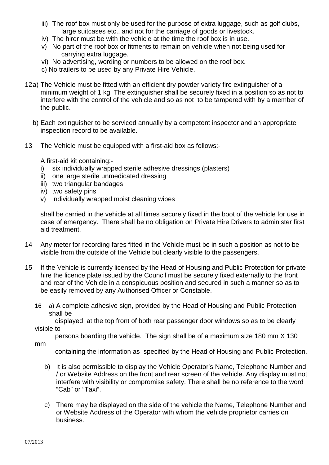- iii) The roof box must only be used for the purpose of extra luggage, such as golf clubs, large suitcases etc., and not for the carriage of goods or livestock.
- iv) The hirer must be with the vehicle at the time the roof box is in use.
- v) No part of the roof box or fitments to remain on vehicle when not being used for carrying extra luggage.
- vi) No advertising, wording or numbers to be allowed on the roof box.
- c) No trailers to be used by any Private Hire Vehicle.
- 12a) The Vehicle must be fitted with an efficient dry powder variety fire extinguisher of a minimum weight of 1 kg. The extinguisher shall be securely fixed in a position so as not to interfere with the control of the vehicle and so as not to be tampered with by a member of the public.
	- b) Each extinguisher to be serviced annually by a competent inspector and an appropriate inspection record to be available.
- 13 The Vehicle must be equipped with a first-aid box as follows:-

A first-aid kit containing:-

- i) six individually wrapped sterile adhesive dressings (plasters)
- ii) one large sterile unmedicated dressing
- iii) two triangular bandages
- iv) two safety pins
- v) individually wrapped moist cleaning wipes

shall be carried in the vehicle at all times securely fixed in the boot of the vehicle for use in case of emergency. There shall be no obligation on Private Hire Drivers to administer first aid treatment.

- 14 Any meter for recording fares fitted in the Vehicle must be in such a position as not to be visible from the outside of the Vehicle but clearly visible to the passengers.
- 15 If the Vehicle is currently licensed by the Head of Housing and Public Protection for private hire the licence plate issued by the Council must be securely fixed externally to the front and rear of the Vehicle in a conspicuous position and secured in such a manner so as to be easily removed by any Authorised Officer or Constable.
	- 16 a) A complete adhesive sign, provided by the Head of Housing and Public Protection shall be

 displayed at the top front of both rear passenger door windows so as to be clearly visible to

persons boarding the vehicle. The sign shall be of a maximum size 180 mm X 130

mm

containing the information as specified by the Head of Housing and Public Protection.

- b) It is also permissible to display the Vehicle Operator's Name, Telephone Number and / or Website Address on the front and rear screen of the vehicle. Any display must not interfere with visibility or compromise safety. There shall be no reference to the word "Cab" or "Taxi".
- c) There may be displayed on the side of the vehicle the Name, Telephone Number and or Website Address of the Operator with whom the vehicle proprietor carries on business.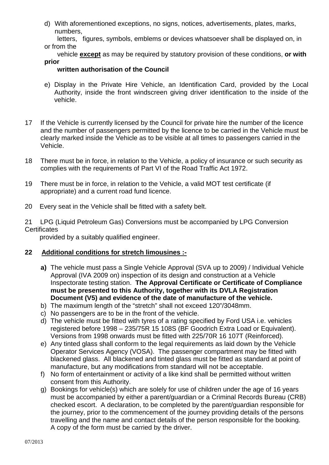- d) With aforementioned exceptions, no signs, notices, advertisements, plates, marks, numbers,
- letters, figures, symbols, emblems or devices whatsoever shall be displayed on, in or from the
- vehicle **except** as may be required by statutory provision of these conditions, **or with prior**

## **written authorisation of the Council**

- e) Display in the Private Hire Vehicle, an Identification Card, provided by the Local Authority, inside the front windscreen giving driver identification to the inside of the vehicle.
- 17 If the Vehicle is currently licensed by the Council for private hire the number of the licence and the number of passengers permitted by the licence to be carried in the Vehicle must be clearly marked inside the Vehicle as to be visible at all times to passengers carried in the Vehicle.
- 18 There must be in force, in relation to the Vehicle, a policy of insurance or such security as complies with the requirements of Part VI of the Road Traffic Act 1972.
- 19 There must be in force, in relation to the Vehicle, a valid MOT test certificate (if appropriate) and a current road fund licence.
- 20 Every seat in the Vehicle shall be fitted with a safety belt.

21 LPG (Liquid Petroleum Gas) Conversions must be accompanied by LPG Conversion **Certificates** 

provided by a suitably qualified engineer.

## **22 Additional conditions for stretch limousines :-**

- **a)** The vehicle must pass a Single Vehicle Approval (SVA up to 2009) / Individual Vehicle Approval (IVA 2009 on) inspection of its design and construction at a Vehicle Inspectorate testing station. **The Approval Certificate or Certificate of Compliance must be presented to this Authority, together with its DVLA Registration Document (V5) and evidence of the date of manufacture of the vehicle.**
- b) The maximum length of the "stretch" shall not exceed 120"/3048mm.
- c) No passengers are to be in the front of the vehicle.
- d) The vehicle must be fitted with tyres of a rating specified by Ford USA i.e. vehicles registered before 1998 – 235/75R 15 108S (BF Goodrich Extra Load or Equivalent). Versions from 1998 onwards must be fitted with 225/70R 16 107T (Reinforced).
- e) Any tinted glass shall conform to the legal requirements as laid down by the Vehicle Operator Services Agency (VOSA). The passenger compartment may be fitted with blackened glass. All blackened and tinted glass must be fitted as standard at point of manufacture, but any modifications from standard will not be acceptable.
- f) No form of entertainment or activity of a like kind shall be permitted without written consent from this Authority.
- g) Bookings for vehicle(s) which are solely for use of children under the age of 16 years must be accompanied by either a parent/guardian or a Criminal Records Bureau (CRB) checked escort. A declaration, to be completed by the parent/guardian responsible for the journey, prior to the commencement of the journey providing details of the persons travelling and the name and contact details of the person responsible for the booking. A copy of the form must be carried by the driver.